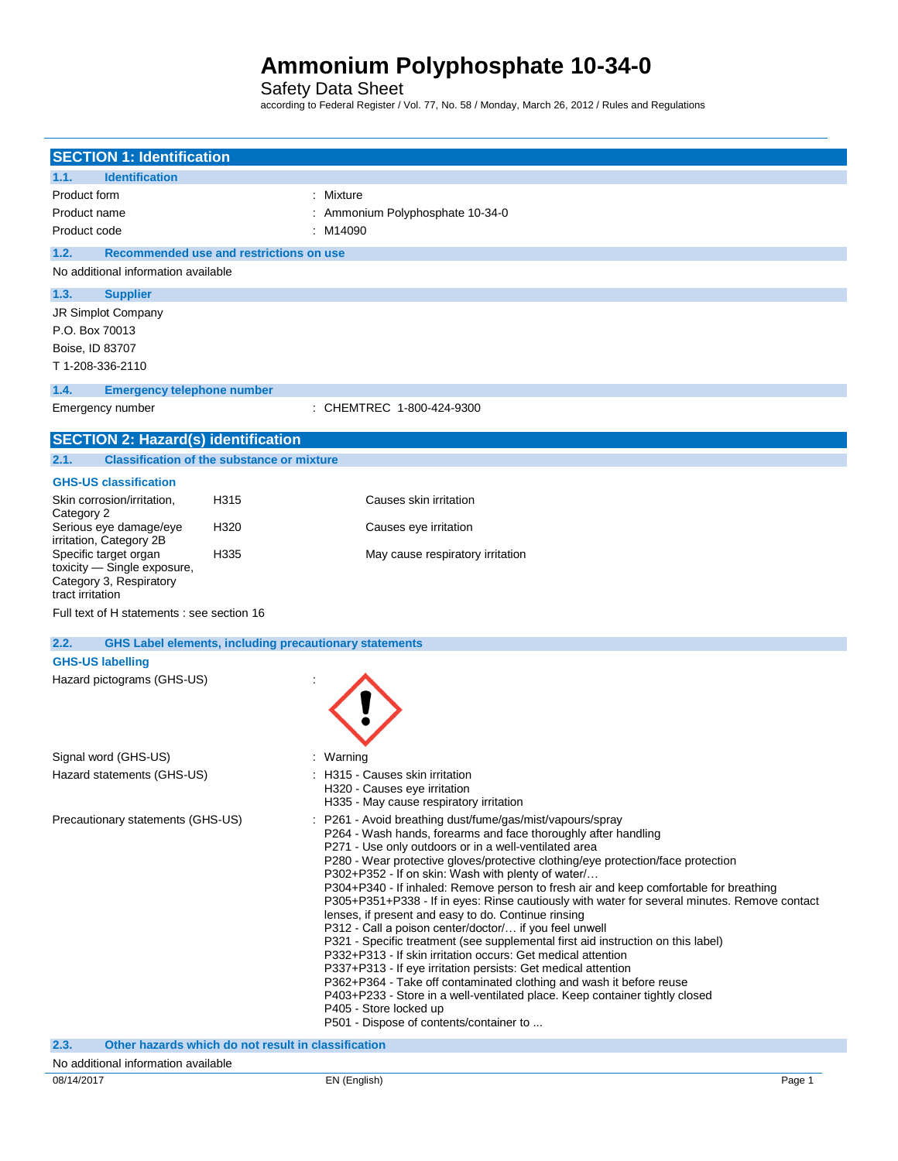Safety Data Sheet

according to Federal Register / Vol. 77, No. 58 / Monday, March 26, 2012 / Rules and Regulations

| <b>SECTION 1: Identification</b>                 |                                                               |                                                                                                                                                    |
|--------------------------------------------------|---------------------------------------------------------------|----------------------------------------------------------------------------------------------------------------------------------------------------|
| <b>Identification</b><br>1.1.                    |                                                               |                                                                                                                                                    |
| Product form                                     |                                                               | : Mixture                                                                                                                                          |
| Product name                                     |                                                               | : Ammonium Polyphosphate 10-34-0                                                                                                                   |
| Product code                                     |                                                               | :M14090                                                                                                                                            |
| 1.2.                                             | Recommended use and restrictions on use                       |                                                                                                                                                    |
| No additional information available              |                                                               |                                                                                                                                                    |
| 1.3.<br><b>Supplier</b>                          |                                                               |                                                                                                                                                    |
| JR Simplot Company                               |                                                               |                                                                                                                                                    |
| P.O. Box 70013                                   |                                                               |                                                                                                                                                    |
| Boise, ID 83707                                  |                                                               |                                                                                                                                                    |
| T 1-208-336-2110                                 |                                                               |                                                                                                                                                    |
| 1.4.<br><b>Emergency telephone number</b>        |                                                               |                                                                                                                                                    |
| Emergency number                                 |                                                               | : CHEMTREC 1-800-424-9300                                                                                                                          |
| <b>SECTION 2: Hazard(s) identification</b>       |                                                               |                                                                                                                                                    |
| 2.1.                                             | <b>Classification of the substance or mixture</b>             |                                                                                                                                                    |
| <b>GHS-US classification</b>                     |                                                               |                                                                                                                                                    |
| Skin corrosion/irritation,                       | H315                                                          | Causes skin irritation                                                                                                                             |
| Category 2<br>Serious eye damage/eye             | H320                                                          | Causes eye irritation                                                                                                                              |
| irritation, Category 2B<br>Specific target organ | H335                                                          | May cause respiratory irritation                                                                                                                   |
| toxicity - Single exposure,                      |                                                               |                                                                                                                                                    |
| Category 3, Respiratory<br>tract irritation      |                                                               |                                                                                                                                                    |
| Full text of H statements : see section 16       |                                                               |                                                                                                                                                    |
| 2.2.                                             | <b>GHS Label elements, including precautionary statements</b> |                                                                                                                                                    |
| <b>GHS-US labelling</b>                          |                                                               |                                                                                                                                                    |
| Hazard pictograms (GHS-US)                       |                                                               |                                                                                                                                                    |
|                                                  |                                                               |                                                                                                                                                    |
|                                                  |                                                               |                                                                                                                                                    |
|                                                  |                                                               |                                                                                                                                                    |
| Signal word (GHS-US)                             |                                                               | : Warning                                                                                                                                          |
| Hazard statements (GHS-US)                       |                                                               | : H315 - Causes skin irritation                                                                                                                    |
|                                                  |                                                               | H320 - Causes eye irritation<br>H335 - May cause respiratory irritation                                                                            |
| Precautionary statements (GHS-US)                |                                                               | : P261 - Avoid breathing dust/fume/gas/mist/vapours/spray                                                                                          |
|                                                  |                                                               | P264 - Wash hands, forearms and face thoroughly after handling                                                                                     |
|                                                  |                                                               | P271 - Use only outdoors or in a well-ventilated area                                                                                              |
|                                                  |                                                               | P280 - Wear protective gloves/protective clothing/eye protection/face protection<br>P302+P352 - If on skin: Wash with plenty of water/             |
|                                                  |                                                               | P304+P340 - If inhaled: Remove person to fresh air and keep comfortable for breathing                                                              |
|                                                  |                                                               | P305+P351+P338 - If in eyes: Rinse cautiously with water for several minutes. Remove contact                                                       |
|                                                  |                                                               | lenses, if present and easy to do. Continue rinsing<br>P312 - Call a poison center/doctor/ if you feel unwell                                      |
|                                                  |                                                               | P321 - Specific treatment (see supplemental first aid instruction on this label)                                                                   |
|                                                  |                                                               | P332+P313 - If skin irritation occurs: Get medical attention                                                                                       |
|                                                  |                                                               | P337+P313 - If eye irritation persists: Get medical attention                                                                                      |
|                                                  |                                                               | P362+P364 - Take off contaminated clothing and wash it before reuse<br>P403+P233 - Store in a well-ventilated place. Keep container tightly closed |
|                                                  |                                                               | P405 - Store locked up                                                                                                                             |
|                                                  |                                                               | P501 - Dispose of contents/container to                                                                                                            |
| 2.3.                                             | Other hazards which do not result in classification           |                                                                                                                                                    |
| No additional information available              |                                                               |                                                                                                                                                    |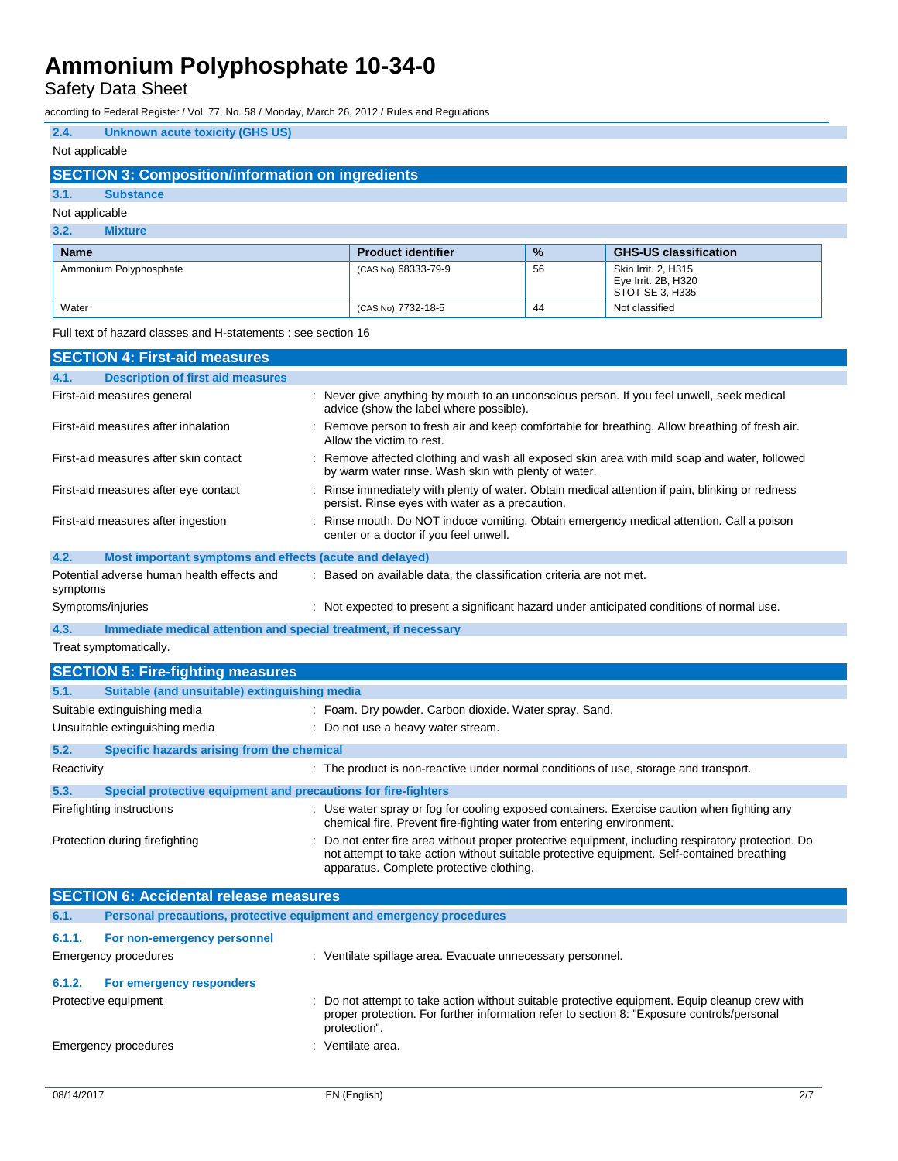Safety Data Sheet

according to Federal Register / Vol. 77, No. 58 / Monday, March 26, 2012 / Rules and Regulations

## **2.4. Unknown acute toxicity (GHS US)** Not applicable

## **SECTION 3: Composition/information on ingredients**

## **3.1. Substance**

#### Not applicable

#### **3.2. Mixture**

| <b>Name</b>            | <b>Product identifier</b> | $\frac{9}{6}$ | <b>GHS-US classification</b>                                  |
|------------------------|---------------------------|---------------|---------------------------------------------------------------|
| Ammonium Polyphosphate | (CAS No) 68333-79-9       | 56            | Skin Irrit, 2, H315<br>Eye Irrit. 2B, H320<br>STOT SE 3, H335 |
| Water                  | (CAS No) 7732-18-5        | 44            | Not classified                                                |

Full text of hazard classes and H-statements : see section 16

| <b>SECTION 4: First-aid measures</b>                                    |                                                                                                                                                                                                                                            |  |
|-------------------------------------------------------------------------|--------------------------------------------------------------------------------------------------------------------------------------------------------------------------------------------------------------------------------------------|--|
| <b>Description of first aid measures</b><br>4.1.                        |                                                                                                                                                                                                                                            |  |
| First-aid measures general                                              | : Never give anything by mouth to an unconscious person. If you feel unwell, seek medical<br>advice (show the label where possible).                                                                                                       |  |
| First-aid measures after inhalation                                     | Remove person to fresh air and keep comfortable for breathing. Allow breathing of fresh air.<br>Allow the victim to rest.                                                                                                                  |  |
| First-aid measures after skin contact                                   | Remove affected clothing and wash all exposed skin area with mild soap and water, followed<br>by warm water rinse. Wash skin with plenty of water.                                                                                         |  |
| First-aid measures after eye contact                                    | Rinse immediately with plenty of water. Obtain medical attention if pain, blinking or redness<br>persist. Rinse eyes with water as a precaution.                                                                                           |  |
| First-aid measures after ingestion                                      | Rinse mouth. Do NOT induce vomiting. Obtain emergency medical attention. Call a poison<br>center or a doctor if you feel unwell.                                                                                                           |  |
| 4.2.<br>Most important symptoms and effects (acute and delayed)         |                                                                                                                                                                                                                                            |  |
| Potential adverse human health effects and<br>symptoms                  | : Based on available data, the classification criteria are not met.                                                                                                                                                                        |  |
| Symptoms/injuries                                                       | : Not expected to present a significant hazard under anticipated conditions of normal use.                                                                                                                                                 |  |
| 4.3.<br>Immediate medical attention and special treatment, if necessary |                                                                                                                                                                                                                                            |  |
| Treat symptomatically.                                                  |                                                                                                                                                                                                                                            |  |
| <b>SECTION 5: Fire-fighting measures</b>                                |                                                                                                                                                                                                                                            |  |
| Suitable (and unsuitable) extinguishing media<br>5.1.                   |                                                                                                                                                                                                                                            |  |
| Suitable extinguishing media                                            | : Foam. Dry powder. Carbon dioxide. Water spray. Sand.                                                                                                                                                                                     |  |
| Unsuitable extinguishing media                                          | : Do not use a heavy water stream.                                                                                                                                                                                                         |  |
| Specific hazards arising from the chemical<br>5.2.                      |                                                                                                                                                                                                                                            |  |
| Reactivity                                                              | : The product is non-reactive under normal conditions of use, storage and transport.                                                                                                                                                       |  |
| 5.3.<br>Special protective equipment and precautions for fire-fighters  |                                                                                                                                                                                                                                            |  |
| Firefighting instructions                                               | : Use water spray or fog for cooling exposed containers. Exercise caution when fighting any<br>chemical fire. Prevent fire-fighting water from entering environment.                                                                       |  |
| Protection during firefighting                                          | Do not enter fire area without proper protective equipment, including respiratory protection. Do<br>not attempt to take action without suitable protective equipment. Self-contained breathing<br>apparatus. Complete protective clothing. |  |
| <b>SECTION 6: Accidental release measures</b>                           |                                                                                                                                                                                                                                            |  |

| <u> Teo i ivit vi zivviuvitul i vivuov Tiivuoul vu</u> |                                                                     |                                                                                                                                                                                                              |  |
|--------------------------------------------------------|---------------------------------------------------------------------|--------------------------------------------------------------------------------------------------------------------------------------------------------------------------------------------------------------|--|
| 6.1.                                                   | Personal precautions, protective equipment and emergency procedures |                                                                                                                                                                                                              |  |
| 6.1.1.                                                 | For non-emergency personnel                                         |                                                                                                                                                                                                              |  |
|                                                        | Emergency procedures                                                | : Ventilate spillage area. Evacuate unnecessary personnel.                                                                                                                                                   |  |
| 6.1.2.                                                 | For emergency responders                                            |                                                                                                                                                                                                              |  |
|                                                        | Protective equipment                                                | : Do not attempt to take action without suitable protective equipment. Equip cleanup crew with<br>proper protection. For further information refer to section 8: "Exposure controls/personal<br>protection". |  |
|                                                        | Emergency procedures                                                | : Ventilate area.                                                                                                                                                                                            |  |
|                                                        |                                                                     |                                                                                                                                                                                                              |  |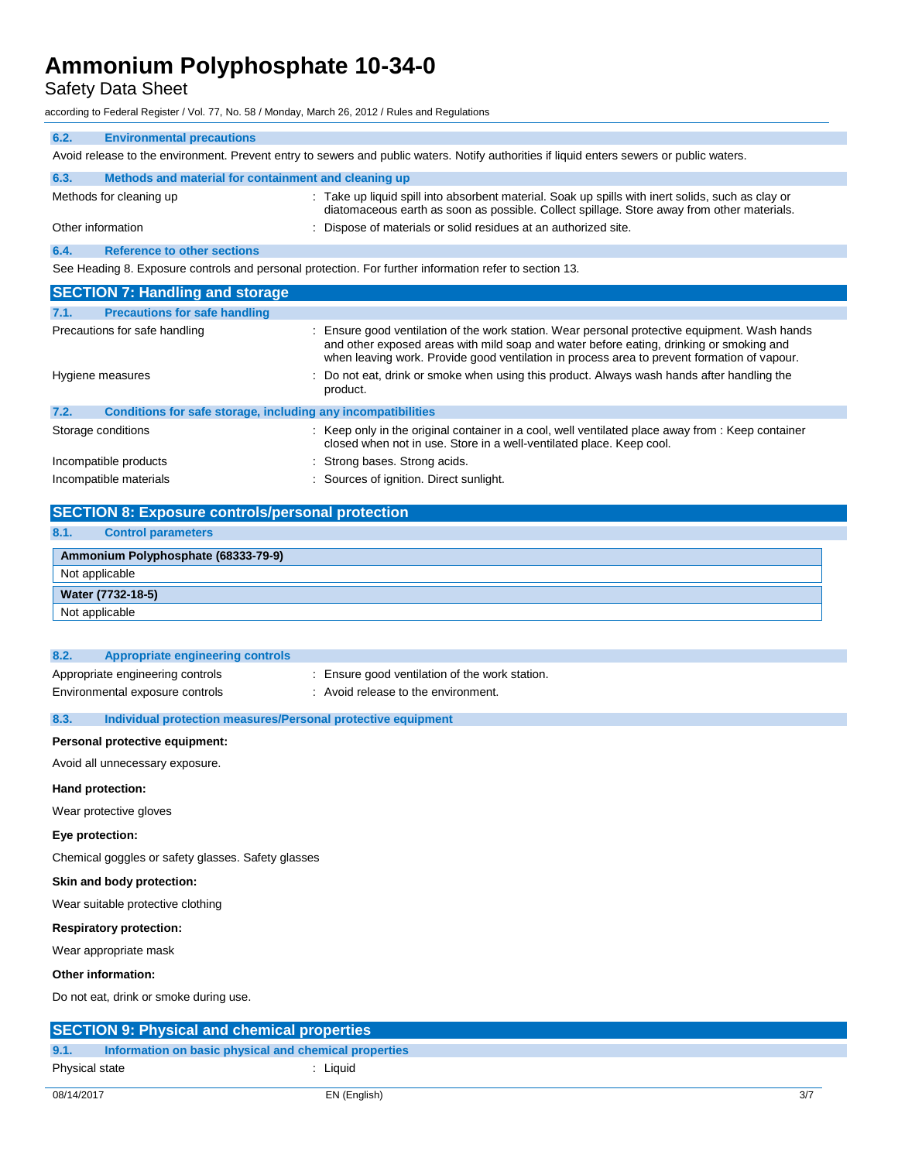Safety Data Sheet

according to Federal Register / Vol. 77, No. 58 / Monday, March 26, 2012 / Rules and Regulations

| 6.2.                                                                                                   | <b>Environmental precautions</b>                                                                                                          |                                                                                                                                                                                                                                                                                         |  |  |
|--------------------------------------------------------------------------------------------------------|-------------------------------------------------------------------------------------------------------------------------------------------|-----------------------------------------------------------------------------------------------------------------------------------------------------------------------------------------------------------------------------------------------------------------------------------------|--|--|
|                                                                                                        | Avoid release to the environment. Prevent entry to sewers and public waters. Notify authorities if liquid enters sewers or public waters. |                                                                                                                                                                                                                                                                                         |  |  |
| 6.3.                                                                                                   | Methods and material for containment and cleaning up                                                                                      |                                                                                                                                                                                                                                                                                         |  |  |
|                                                                                                        | Methods for cleaning up                                                                                                                   | : Take up liquid spill into absorbent material. Soak up spills with inert solids, such as clay or<br>diatomaceous earth as soon as possible. Collect spillage. Store away from other materials.                                                                                         |  |  |
|                                                                                                        | Other information                                                                                                                         | : Dispose of materials or solid residues at an authorized site.                                                                                                                                                                                                                         |  |  |
| 6.4.                                                                                                   | <b>Reference to other sections</b>                                                                                                        |                                                                                                                                                                                                                                                                                         |  |  |
| See Heading 8. Exposure controls and personal protection. For further information refer to section 13. |                                                                                                                                           |                                                                                                                                                                                                                                                                                         |  |  |
|                                                                                                        | <b>SECTION 7: Handling and storage</b>                                                                                                    |                                                                                                                                                                                                                                                                                         |  |  |
| 7.1.                                                                                                   | <b>Precautions for safe handling</b>                                                                                                      |                                                                                                                                                                                                                                                                                         |  |  |
| Precautions for safe handling                                                                          |                                                                                                                                           | : Ensure good ventilation of the work station. Wear personal protective equipment. Wash hands<br>and other exposed areas with mild soap and water before eating, drinking or smoking and<br>when leaving work. Provide good ventilation in process area to prevent formation of vapour. |  |  |

| Hygiene measures                                                     | : Do not eat, drink or smoke when using this product. Always wash hands after handling the<br>product.                                                                    |
|----------------------------------------------------------------------|---------------------------------------------------------------------------------------------------------------------------------------------------------------------------|
| 7.2.<br>Conditions for safe storage, including any incompatibilities |                                                                                                                                                                           |
| Storage conditions                                                   | : Keep only in the original container in a cool, well ventilated place away from : Keep container<br>closed when not in use. Store in a well-ventilated place. Keep cool. |
| Incompatible products                                                | : Strong bases. Strong acids.                                                                                                                                             |
| Incompatible materials                                               | : Sources of ignition. Direct sunlight.                                                                                                                                   |

|                   | <b>SECTION 8: Exposure controls/personal protection</b> |  |
|-------------------|---------------------------------------------------------|--|
| 8.1.              | <b>Control parameters</b>                               |  |
|                   | Ammonium Polyphosphate (68333-79-9)                     |  |
| Not applicable    |                                                         |  |
| Water (7732-18-5) |                                                         |  |
| Not applicable    |                                                         |  |

| 8.2.                             | Appropriate engineering controls                             |                                                |
|----------------------------------|--------------------------------------------------------------|------------------------------------------------|
| Appropriate engineering controls |                                                              | : Ensure good ventilation of the work station. |
| Environmental exposure controls  |                                                              | : Avoid release to the environment.            |
|                                  |                                                              |                                                |
| 8.3.                             | Individual protection measures/Personal protective equipment |                                                |

## **Personal protective equipment:**

Avoid all unnecessary exposure.

#### **Hand protection:**

Wear protective gloves

### **Eye protection:**

Chemical goggles or safety glasses. Safety glasses

## **Skin and body protection:**

Wear suitable protective clothing

#### **Respiratory protection:**

Wear appropriate mask

## **Other information:**

Do not eat, drink or smoke during use.

| <b>SECTION 9: Physical and chemical properties</b> |                                                       |          |
|----------------------------------------------------|-------------------------------------------------------|----------|
| 9.1.                                               | Information on basic physical and chemical properties |          |
| Physical state                                     |                                                       | : Liquid |
|                                                    |                                                       |          |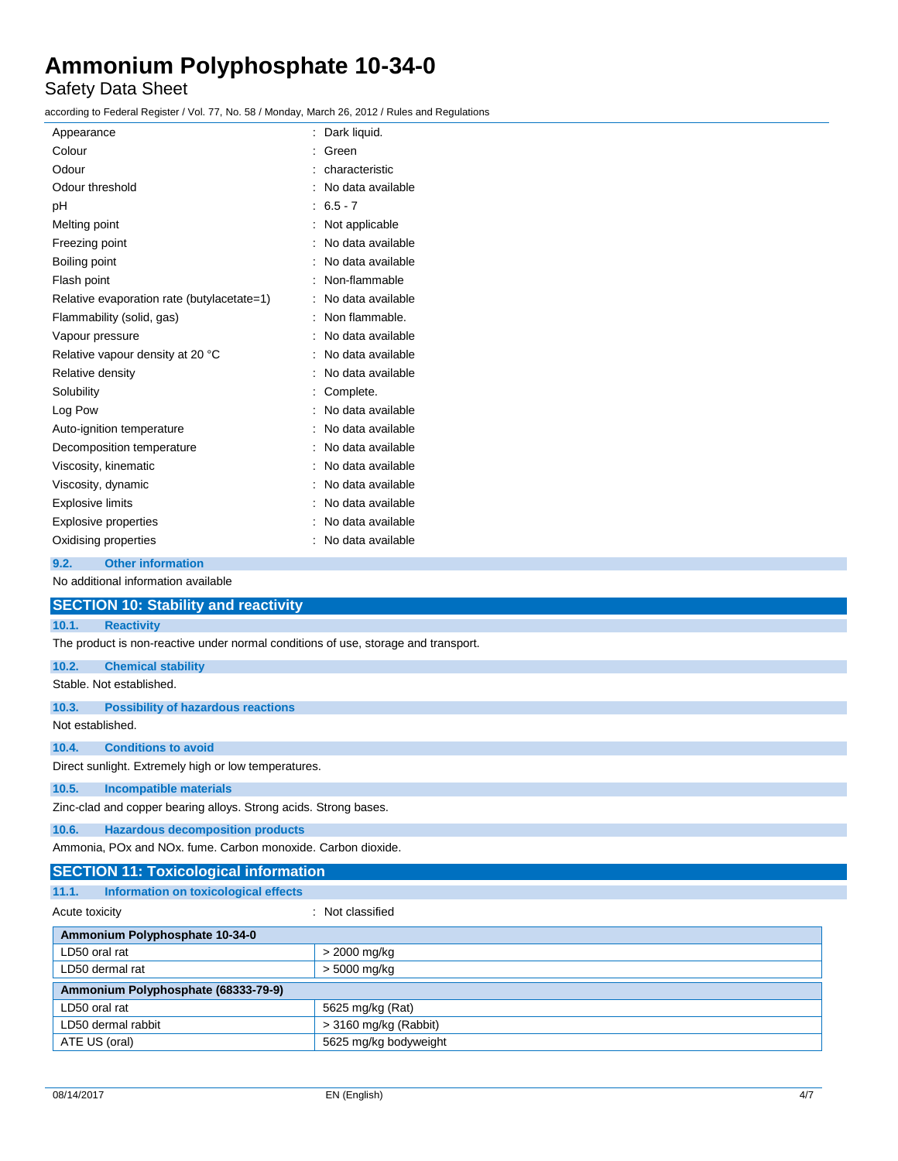## Safety Data Sheet

according to Federal Register / Vol. 77, No. 58 / Monday, March 26, 2012 / Rules and Regulations

| Appearance                                 | Dark liquid.      |
|--------------------------------------------|-------------------|
| Colour                                     | Green             |
| Odour                                      | characteristic    |
| Odour threshold                            | No data available |
| рH                                         | $6.5 - 7$         |
| Melting point                              | Not applicable    |
| Freezing point                             | No data available |
| Boiling point                              | No data available |
| Flash point                                | Non-flammable     |
| Relative evaporation rate (butylacetate=1) | No data available |
| Flammability (solid, gas)                  | Non flammable.    |
| Vapour pressure                            | No data available |
| Relative vapour density at 20 °C           | No data available |
| Relative density                           | No data available |
| Solubility                                 | Complete.         |
| Log Pow                                    | No data available |
| Auto-ignition temperature                  | No data available |
| Decomposition temperature                  | No data available |
| Viscosity, kinematic                       | No data available |
| Viscosity, dynamic                         | No data available |
| <b>Explosive limits</b>                    | No data available |
| <b>Explosive properties</b>                | No data available |
| Oxidising properties                       | No data available |
|                                            |                   |

## **9.2. Other information**

No additional information available

|                                    | <b>SECTION 10: Stability and reactivity</b>                                        |                         |  |
|------------------------------------|------------------------------------------------------------------------------------|-------------------------|--|
| 10.1.                              | <b>Reactivity</b>                                                                  |                         |  |
|                                    | The product is non-reactive under normal conditions of use, storage and transport. |                         |  |
| 10.2.                              | <b>Chemical stability</b>                                                          |                         |  |
|                                    | Stable. Not established.                                                           |                         |  |
| 10.3.                              | <b>Possibility of hazardous reactions</b>                                          |                         |  |
| Not established.                   |                                                                                    |                         |  |
| 10.4.                              | <b>Conditions to avoid</b>                                                         |                         |  |
|                                    | Direct sunlight. Extremely high or low temperatures.                               |                         |  |
| 10.5.                              | <b>Incompatible materials</b>                                                      |                         |  |
|                                    | Zinc-clad and copper bearing alloys. Strong acids. Strong bases.                   |                         |  |
| 10.6.                              | <b>Hazardous decomposition products</b>                                            |                         |  |
|                                    | Ammonia, POx and NOx, fume, Carbon monoxide, Carbon dioxide,                       |                         |  |
|                                    | <b>SECTION 11: Toxicological information</b>                                       |                         |  |
| 11.1.                              | Information on toxicological effects                                               |                         |  |
| : Not classified<br>Acute toxicity |                                                                                    |                         |  |
|                                    | Ammonium Polyphosphate 10-34-0                                                     |                         |  |
| LD50 oral rat                      |                                                                                    | > 2000 mg/kg            |  |
| LD50 dermal rat                    |                                                                                    | > 5000 mg/kg            |  |
|                                    | Ammonium Polyphosphate (68333-79-9)                                                |                         |  |
| LD50 oral rat                      |                                                                                    | 5625 mg/kg (Rat)        |  |
| LD50 dermal rabbit                 |                                                                                    | $>$ 3160 mg/kg (Rabbit) |  |
| ATE US (oral)                      |                                                                                    | 5625 mg/kg bodyweight   |  |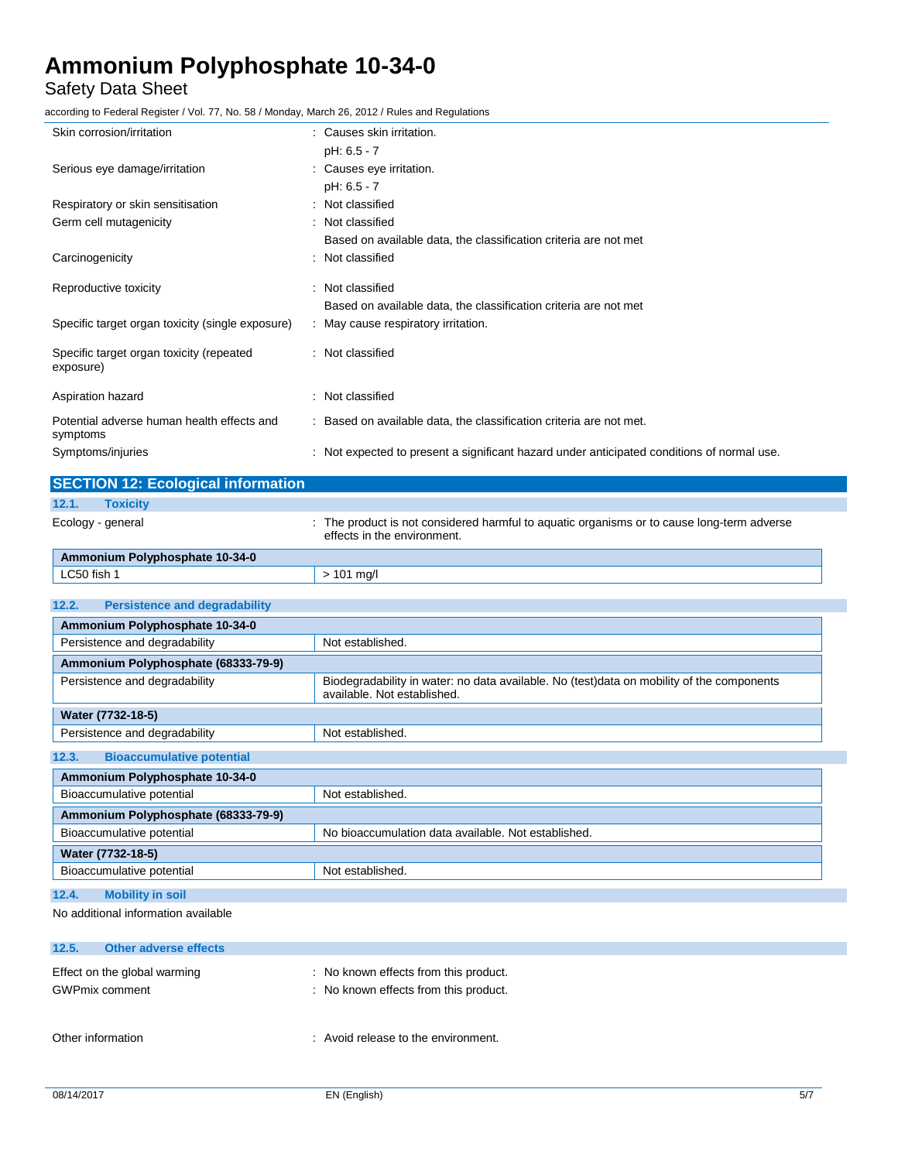## Safety Data Sheet

according to Federal Register / Vol. 77, No. 58 / Monday, March 26, 2012 / Rules and Regulations

| Skin corrosion/irritation                              | : Causes skin irritation.                                                                  |
|--------------------------------------------------------|--------------------------------------------------------------------------------------------|
|                                                        | pH: 6.5 - 7                                                                                |
| Serious eye damage/irritation                          | : Causes eye irritation.                                                                   |
|                                                        | pH: 6.5 - 7                                                                                |
| Respiratory or skin sensitisation                      | : Not classified                                                                           |
| Germ cell mutagenicity                                 | : Not classified                                                                           |
|                                                        | Based on available data, the classification criteria are not met                           |
| Carcinogenicity                                        | : Not classified                                                                           |
| Reproductive toxicity                                  | : Not classified                                                                           |
|                                                        | Based on available data, the classification criteria are not met                           |
| Specific target organ toxicity (single exposure)       | : May cause respiratory irritation.                                                        |
| Specific target organ toxicity (repeated               | : Not classified                                                                           |
| exposure)                                              |                                                                                            |
| Aspiration hazard                                      | : Not classified                                                                           |
|                                                        |                                                                                            |
| Potential adverse human health effects and<br>symptoms | : Based on available data, the classification criteria are not met.                        |
| Symptoms/injuries                                      | : Not expected to present a significant hazard under anticipated conditions of normal use. |
|                                                        |                                                                                            |

| <b>SECTION 12: Ecological information</b>     |                                                                                                                           |  |  |  |
|-----------------------------------------------|---------------------------------------------------------------------------------------------------------------------------|--|--|--|
| <b>Toxicity</b><br>12.1.                      |                                                                                                                           |  |  |  |
| Ecology - general                             | : The product is not considered harmful to aquatic organisms or to cause long-term adverse<br>effects in the environment. |  |  |  |
| Ammonium Polyphosphate 10-34-0                |                                                                                                                           |  |  |  |
| LC50 fish 1                                   | $> 101$ mg/l                                                                                                              |  |  |  |
| 12.2.<br><b>Persistence and degradability</b> |                                                                                                                           |  |  |  |
| Ammonium Polyphosphate 10-34-0                |                                                                                                                           |  |  |  |
| Persistence and degradability                 | Not established.                                                                                                          |  |  |  |
| Ammonium Polyphosphate (68333-79-9)           |                                                                                                                           |  |  |  |
| Persistence and degradability                 | Biodegradability in water: no data available. No (test)data on mobility of the components<br>available. Not established.  |  |  |  |
| Water (7732-18-5)                             |                                                                                                                           |  |  |  |
| Persistence and degradability                 | Not established.                                                                                                          |  |  |  |
| 12.3.<br><b>Bioaccumulative potential</b>     |                                                                                                                           |  |  |  |
| Ammonium Polyphosphate 10-34-0                |                                                                                                                           |  |  |  |
| Bioaccumulative potential                     | Not established.                                                                                                          |  |  |  |
| Ammonium Polyphosphate (68333-79-9)           |                                                                                                                           |  |  |  |
| Bioaccumulative potential                     | No bioaccumulation data available. Not established.                                                                       |  |  |  |
| Water (7732-18-5)                             |                                                                                                                           |  |  |  |
| Bioaccumulative potential                     | Not established.                                                                                                          |  |  |  |
| 12.4.<br><b>Mobility in soil</b>              |                                                                                                                           |  |  |  |
| No additional information available           |                                                                                                                           |  |  |  |

| 12.5.                 | <b>Other adverse effects</b> |                                                                              |
|-----------------------|------------------------------|------------------------------------------------------------------------------|
| <b>GWPmix comment</b> | Effect on the global warming | No known effects from this product.<br>: No known effects from this product. |
| Other information     |                              | : Avoid release to the environment.                                          |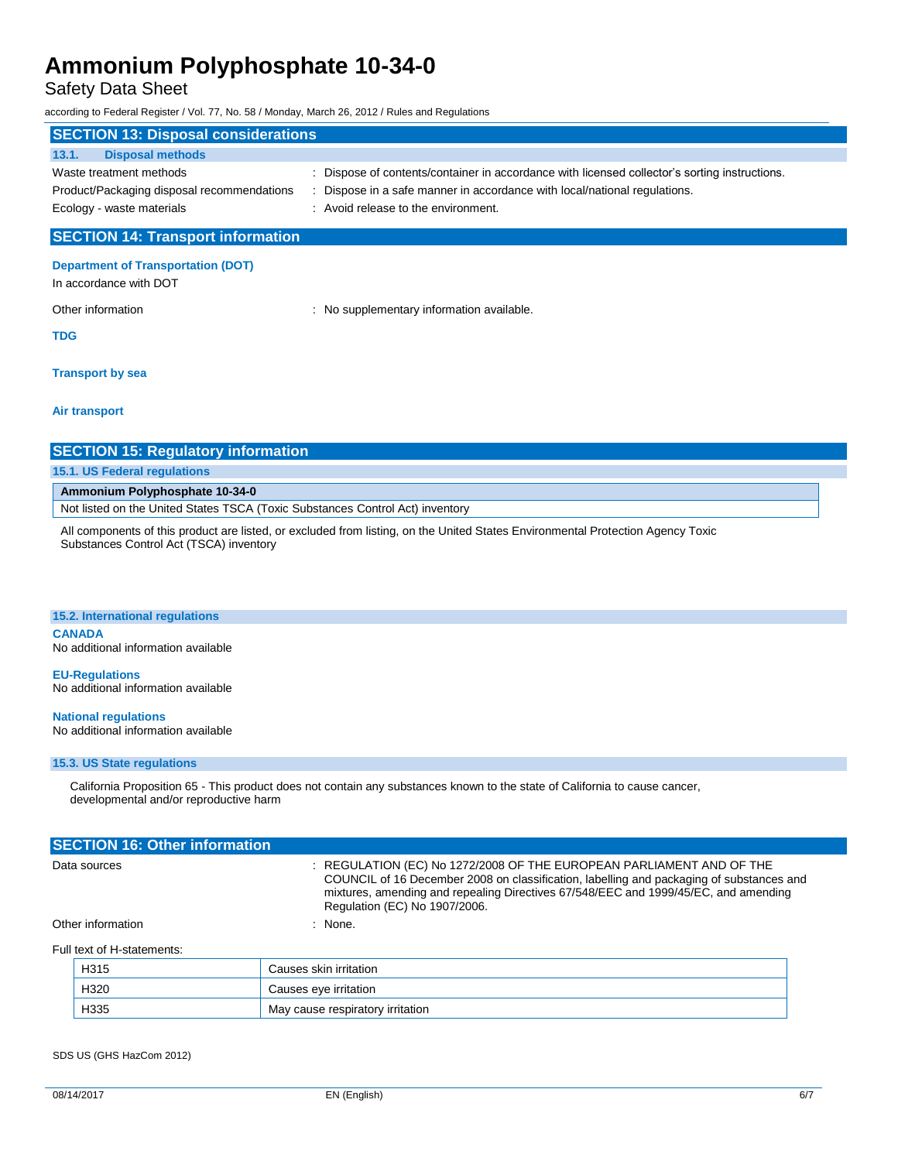## Safety Data Sheet

according to Federal Register / Vol. 77, No. 58 / Monday, March 26, 2012 / Rules and Regulations

| <b>SECTION 13: Disposal considerations</b> |                                                                                               |  |  |  |
|--------------------------------------------|-----------------------------------------------------------------------------------------------|--|--|--|
| <b>Disposal methods</b><br>13.1.           |                                                                                               |  |  |  |
| Waste treatment methods                    | : Dispose of contents/container in accordance with licensed collector's sorting instructions. |  |  |  |
| Product/Packaging disposal recommendations | : Dispose in a safe manner in accordance with local/national regulations.                     |  |  |  |
| Ecology - waste materials                  | : Avoid release to the environment.                                                           |  |  |  |
|                                            |                                                                                               |  |  |  |

## **SECTION 14: Transport information**

## **Department of Transportation (DOT)**

In accordance with DOT

Other information **Other information** : No supplementary information available.

**TDG**

#### **Transport by sea**

**Air transport**

| <b>SECTION 15: Regulatory information</b>                                     |  |
|-------------------------------------------------------------------------------|--|
| 15.1. US Federal regulations                                                  |  |
| Ammonium Polyphosphate 10-34-0                                                |  |
| Not listed on the United States TSCA (Toxic Substances Control Act) inventory |  |
|                                                                               |  |

All components of this product are listed, or excluded from listing, on the United States Environmental Protection Agency Toxic Substances Control Act (TSCA) inventory

#### **15.2. International regulations**

**CANADA** No additional information available

**EU-Regulations** No additional information available

**National regulations** No additional information available

#### **15.3. US State regulations**

California Proposition 65 - This product does not contain any substances known to the state of California to cause cancer, developmental and/or reproductive harm

| <b>SECTION 16: Other information</b> |                                                                                                                                                                                                                                                                                          |
|--------------------------------------|------------------------------------------------------------------------------------------------------------------------------------------------------------------------------------------------------------------------------------------------------------------------------------------|
| Data sources                         | : REGULATION (EC) No 1272/2008 OF THE EUROPEAN PARLIAMENT AND OF THE<br>COUNCIL of 16 December 2008 on classification, labelling and packaging of substances and<br>mixtures, amending and repealing Directives 67/548/EEC and 1999/45/EC, and amending<br>Regulation (EC) No 1907/2006. |
| Other information                    | : None.                                                                                                                                                                                                                                                                                  |
| Full text of H-statements:           |                                                                                                                                                                                                                                                                                          |

| H315 | Causes skin irritation           |
|------|----------------------------------|
| H320 | Causes eye irritation            |
| H335 | May cause respiratory irritation |

SDS US (GHS HazCom 2012)